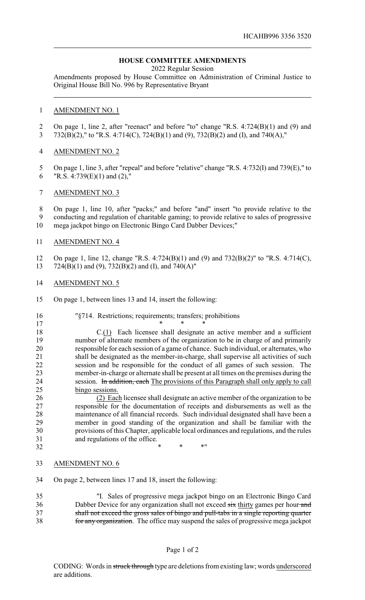## **HOUSE COMMITTEE AMENDMENTS**

2022 Regular Session

Amendments proposed by House Committee on Administration of Criminal Justice to Original House Bill No. 996 by Representative Bryant

## AMENDMENT NO. 1

 On page 1, line 2, after "reenact" and before "to" change "R.S. 4:724(B)(1) and (9) and 732(B)(2)," to "R.S. 4:714(C), 724(B)(1) and (9), 732(B)(2) and (I), and 740(A),"

## AMENDMENT NO. 2

- 5 On page 1, line 3, after "repeal" and before "relative" change "R.S. 4:732(I) and 739(E)," to 6 "R.S. 4:739 $(E)(1)$  and  $(2)$ ,"
- AMENDMENT NO. 3

 On page 1, line 10, after "packs;" and before "and" insert "to provide relative to the conducting and regulation of charitable gaming; to provide relative to sales of progressive mega jackpot bingo on Electronic Bingo Card Dabber Devices;"

AMENDMENT NO. 4

 On page 1, line 12, change "R.S. 4:724(B)(1) and (9) and 732(B)(2)" to "R.S. 4:714(C), 724(B)(1) and (9), 732(B)(2) and (I), and 740(A)"

- AMENDMENT NO. 5
- On page 1, between lines 13 and 14, insert the following:

| 16 | "§714. Restrictions; requirements; transfers; prohibitions                             |
|----|----------------------------------------------------------------------------------------|
| 17 |                                                                                        |
| 18 | C.(1) Each licensee shall designate an active member and a sufficient                  |
| 19 | number of alternate members of the organization to be in charge of and primarily       |
| 20 | responsible for each session of a game of chance. Such individual, or alternates, who  |
| 21 | shall be designated as the member-in-charge, shall supervise all activities of such    |
| 22 | session and be responsible for the conduct of all games of such session. The           |
| 23 | member-in-charge or alternate shall be present at all times on the premises during the |
| 24 | session. In addition, each The provisions of this Paragraph shall only apply to call   |
| 25 | bingo sessions.                                                                        |
| 26 | (2) Each licensee shall designate an active member of the organization to be           |
| 27 | responsible for the documentation of receipts and disbursements as well as the         |
| 28 | maintenance of all financial records. Such individual designated shall have been a     |
| 29 | member in good standing of the organization and shall be familiar with the             |
| 30 | provisions of this Chapter, applicable local ordinances and regulations, and the rules |

AMENDMENT NO. 6

and regulations of the office.

On page 2, between lines 17 and 18, insert the following:

32 \* \* \* \* \* \*

 "I. Sales of progressive mega jackpot bingo on an Electronic Bingo Card 36 Dabber Device for any organization shall not exceed six thirty games per hour and shall not exceed the gross sales of bingo and pull-tabs in a single reporting quarter for any organization. The office may suspend the sales of progressive mega jackpot